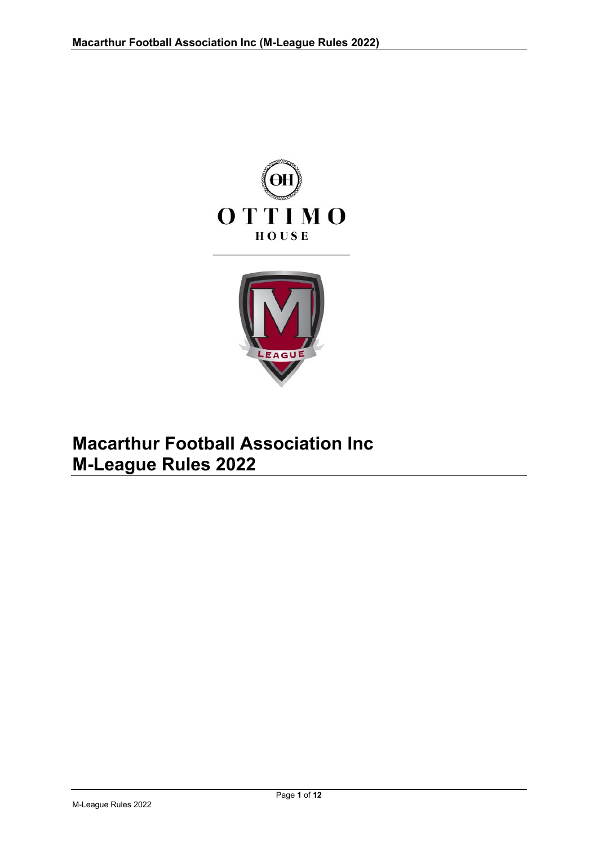



# **Macarthur Football Association Inc M-League Rules 2022**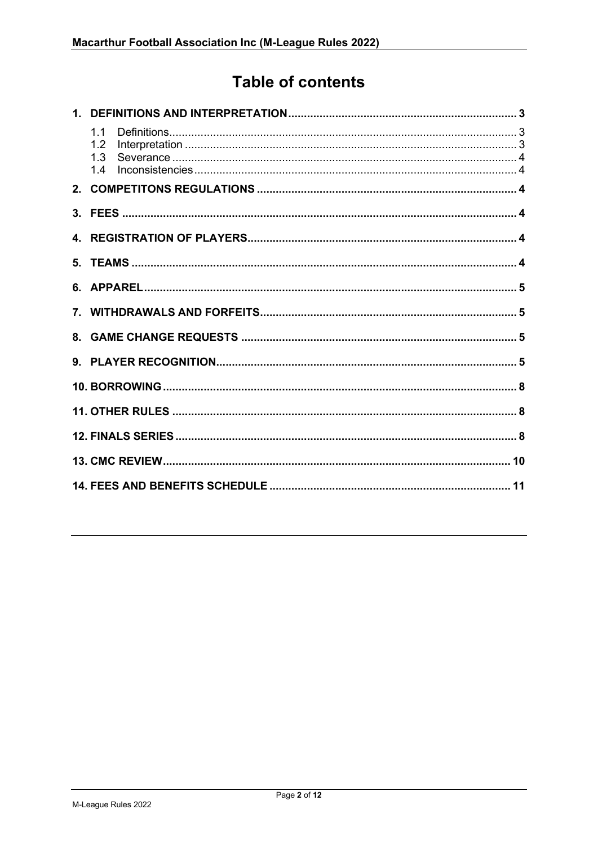# **Table of contents**

| 1.1<br>1.2<br>1.3<br>1.4 |  |
|--------------------------|--|
|                          |  |
|                          |  |
|                          |  |
|                          |  |
|                          |  |
|                          |  |
|                          |  |
|                          |  |
|                          |  |
|                          |  |
|                          |  |
|                          |  |
|                          |  |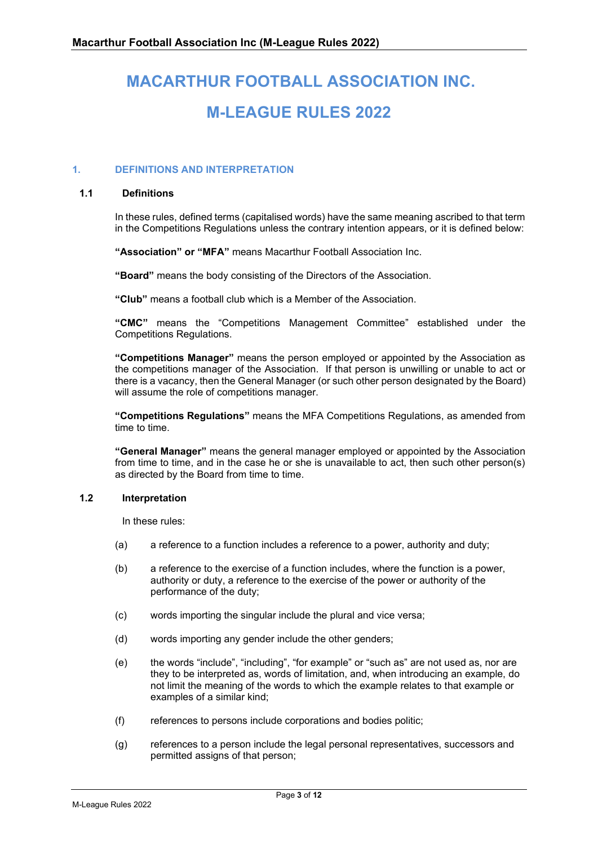# **MACARTHUR FOOTBALL ASSOCIATION INC. M-LEAGUE RULES 2022**

#### <span id="page-2-0"></span>**1. DEFINITIONS AND INTERPRETATION**

#### <span id="page-2-1"></span>**1.1 Definitions**

In these rules, defined terms (capitalised words) have the same meaning ascribed to that term in the Competitions Regulations unless the contrary intention appears, or it is defined below:

**"Association" or "MFA"** means Macarthur Football Association Inc.

**"Board"** means the body consisting of the Directors of the Association.

**"Club"** means a football club which is a Member of the Association.

**"CMC"** means the "Competitions Management Committee" established under the Competitions Regulations.

**"Competitions Manager"** means the person employed or appointed by the Association as the competitions manager of the Association. If that person is unwilling or unable to act or there is a vacancy, then the General Manager (or such other person designated by the Board) will assume the role of competitions manager.

**"Competitions Regulations"** means the MFA Competitions Regulations, as amended from time to time.

**"General Manager"** means the general manager employed or appointed by the Association from time to time, and in the case he or she is unavailable to act, then such other person(s) as directed by the Board from time to time.

#### <span id="page-2-2"></span>**1.2 Interpretation**

In these rules:

- (a) a reference to a function includes a reference to a power, authority and duty;
- (b) a reference to the exercise of a function includes, where the function is a power, authority or duty, a reference to the exercise of the power or authority of the performance of the duty;
- (c) words importing the singular include the plural and vice versa;
- (d) words importing any gender include the other genders;
- (e) the words "include", "including", "for example" or "such as" are not used as, nor are they to be interpreted as, words of limitation, and, when introducing an example, do not limit the meaning of the words to which the example relates to that example or examples of a similar kind;
- (f) references to persons include corporations and bodies politic;
- (g) references to a person include the legal personal representatives, successors and permitted assigns of that person;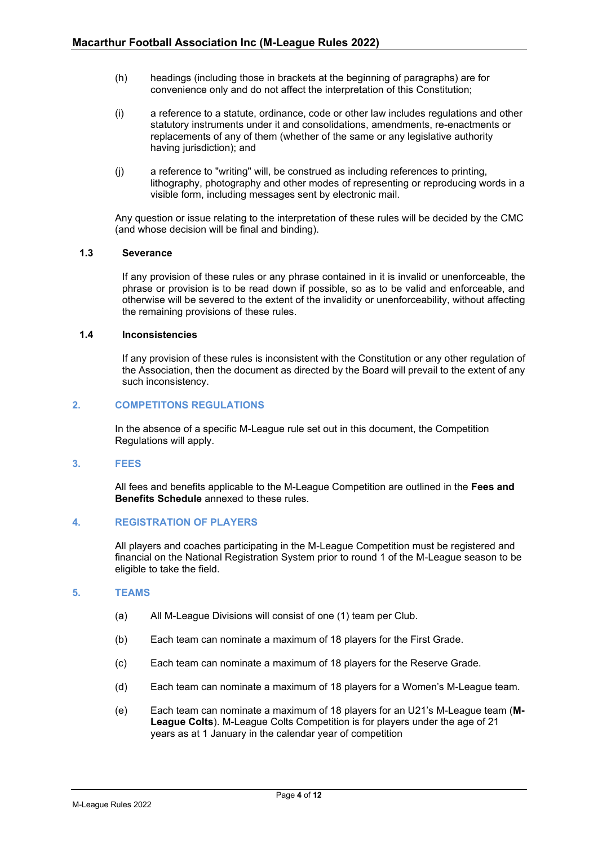- (h) headings (including those in brackets at the beginning of paragraphs) are for convenience only and do not affect the interpretation of this Constitution;
- (i) a reference to a statute, ordinance, code or other law includes regulations and other statutory instruments under it and consolidations, amendments, re-enactments or replacements of any of them (whether of the same or any legislative authority having jurisdiction); and
- (j) a reference to "writing" will, be construed as including references to printing, lithography, photography and other modes of representing or reproducing words in a visible form, including messages sent by electronic mail.

Any question or issue relating to the interpretation of these rules will be decided by the CMC (and whose decision will be final and binding).

#### <span id="page-3-0"></span>**1.3 Severance**

If any provision of these rules or any phrase contained in it is invalid or unenforceable, the phrase or provision is to be read down if possible, so as to be valid and enforceable, and otherwise will be severed to the extent of the invalidity or unenforceability, without affecting the remaining provisions of these rules.

#### <span id="page-3-1"></span>**1.4 Inconsistencies**

If any provision of these rules is inconsistent with the Constitution or any other regulation of the Association, then the document as directed by the Board will prevail to the extent of any such inconsistency.

#### <span id="page-3-2"></span>**2. COMPETITONS REGULATIONS**

In the absence of a specific M-League rule set out in this document, the Competition Regulations will apply.

#### <span id="page-3-3"></span>**3. FEES**

All fees and benefits applicable to the M-League Competition are outlined in the **Fees and Benefits Schedule** annexed to these rules.

#### <span id="page-3-4"></span>**4. REGISTRATION OF PLAYERS**

All players and coaches participating in the M-League Competition must be registered and financial on the National Registration System prior to round 1 of the M-League season to be eligible to take the field.

#### <span id="page-3-5"></span>**5. TEAMS**

- (a) All M-League Divisions will consist of one (1) team per Club.
- (b) Each team can nominate a maximum of 18 players for the First Grade.
- (c) Each team can nominate a maximum of 18 players for the Reserve Grade.
- (d) Each team can nominate a maximum of 18 players for a Women's M-League team.
- (e) Each team can nominate a maximum of 18 players for an U21's M-League team (**M-League Colts**). M-League Colts Competition is for players under the age of 21 years as at 1 January in the calendar year of competition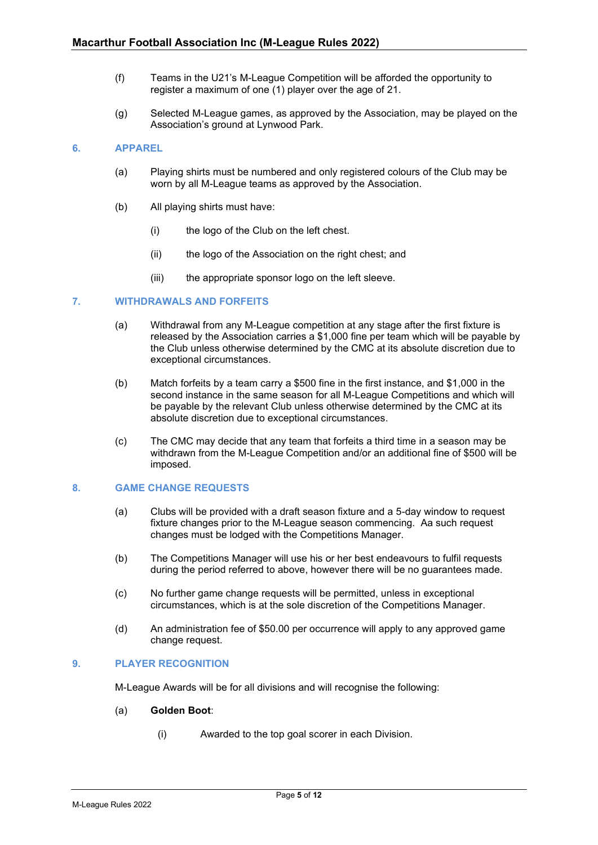- (f) Teams in the U21's M-League Competition will be afforded the opportunity to register a maximum of one (1) player over the age of 21.
- (g) Selected M-League games, as approved by the Association, may be played on the Association's ground at Lynwood Park.

## <span id="page-4-0"></span>**6. APPAREL**

- (a) Playing shirts must be numbered and only registered colours of the Club may be worn by all M-League teams as approved by the Association.
- (b) All playing shirts must have:
	- (i) the logo of the Club on the left chest.
	- (ii) the logo of the Association on the right chest; and
	- (iii) the appropriate sponsor logo on the left sleeve.

#### <span id="page-4-1"></span>**7. WITHDRAWALS AND FORFEITS**

- (a) Withdrawal from any M-League competition at any stage after the first fixture is released by the Association carries a \$1,000 fine per team which will be payable by the Club unless otherwise determined by the CMC at its absolute discretion due to exceptional circumstances.
- (b) Match forfeits by a team carry a \$500 fine in the first instance, and \$1,000 in the second instance in the same season for all M-League Competitions and which will be payable by the relevant Club unless otherwise determined by the CMC at its absolute discretion due to exceptional circumstances.
- (c) The CMC may decide that any team that forfeits a third time in a season may be withdrawn from the M-League Competition and/or an additional fine of \$500 will be imposed.

#### <span id="page-4-2"></span>**8. GAME CHANGE REQUESTS**

- (a) Clubs will be provided with a draft season fixture and a 5-day window to request fixture changes prior to the M-League season commencing. Aa such request changes must be lodged with the Competitions Manager.
- (b) The Competitions Manager will use his or her best endeavours to fulfil requests during the period referred to above, however there will be no guarantees made.
- (c) No further game change requests will be permitted, unless in exceptional circumstances, which is at the sole discretion of the Competitions Manager.
- (d) An administration fee of \$50.00 per occurrence will apply to any approved game change request.

#### <span id="page-4-3"></span>**9. PLAYER RECOGNITION**

M-League Awards will be for all divisions and will recognise the following:

#### (a) **Golden Boot**:

(i) Awarded to the top goal scorer in each Division.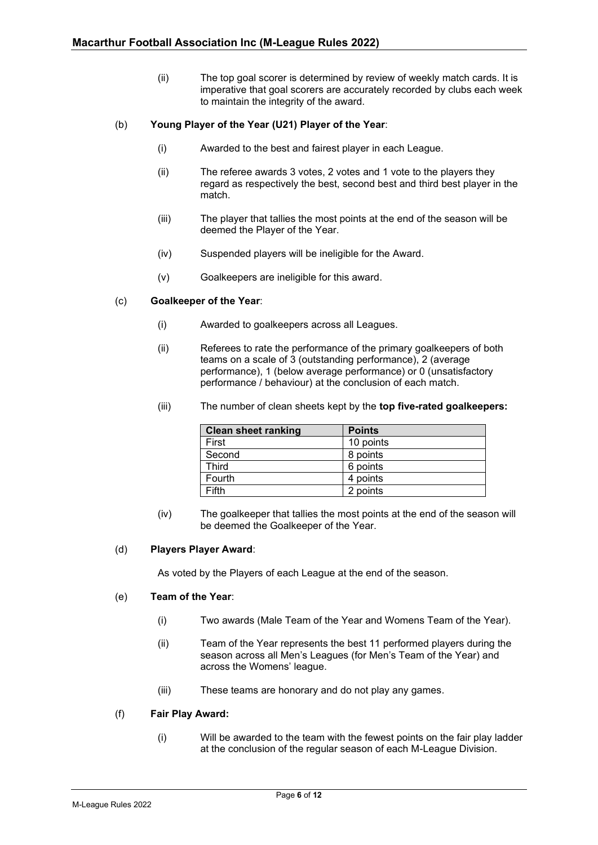(ii) The top goal scorer is determined by review of weekly match cards. It is imperative that goal scorers are accurately recorded by clubs each week to maintain the integrity of the award.

## (b) **Young Player of the Year (U21) Player of the Year**:

- (i) Awarded to the best and fairest player in each League.
- (ii) The referee awards 3 votes, 2 votes and 1 vote to the players they regard as respectively the best, second best and third best player in the match.
- (iii) The player that tallies the most points at the end of the season will be deemed the Player of the Year.
- (iv) Suspended players will be ineligible for the Award.
- (v) Goalkeepers are ineligible for this award.

#### (c) **Goalkeeper of the Year**:

- (i) Awarded to goalkeepers across all Leagues.
- (ii) Referees to rate the performance of the primary goalkeepers of both teams on a scale of 3 (outstanding performance), 2 (average performance), 1 (below average performance) or 0 (unsatisfactory performance / behaviour) at the conclusion of each match.

| Clean sheet ranking<br><b>Points</b> |  |
|--------------------------------------|--|
|                                      |  |

(iii) The number of clean sheets kept by the **top five-rated goalkeepers:**

| GIGALI SILGEL FAITNING | rullis    |
|------------------------|-----------|
| First                  | 10 points |
| Second                 | 8 points  |
| <b>Third</b>           | 6 points  |
| Fourth                 | 4 points  |
| Fifth                  | 2 points  |

(iv) The goalkeeper that tallies the most points at the end of the season will be deemed the Goalkeeper of the Year.

#### (d) **Players Player Award**:

As voted by the Players of each League at the end of the season.

#### (e) **Team of the Year**:

- (i) Two awards (Male Team of the Year and Womens Team of the Year).
- (ii) Team of the Year represents the best 11 performed players during the season across all Men's Leagues (for Men's Team of the Year) and across the Womens' league.
- (iii) These teams are honorary and do not play any games.

#### (f) **Fair Play Award:**

(i) Will be awarded to the team with the fewest points on the fair play ladder at the conclusion of the regular season of each M-League Division.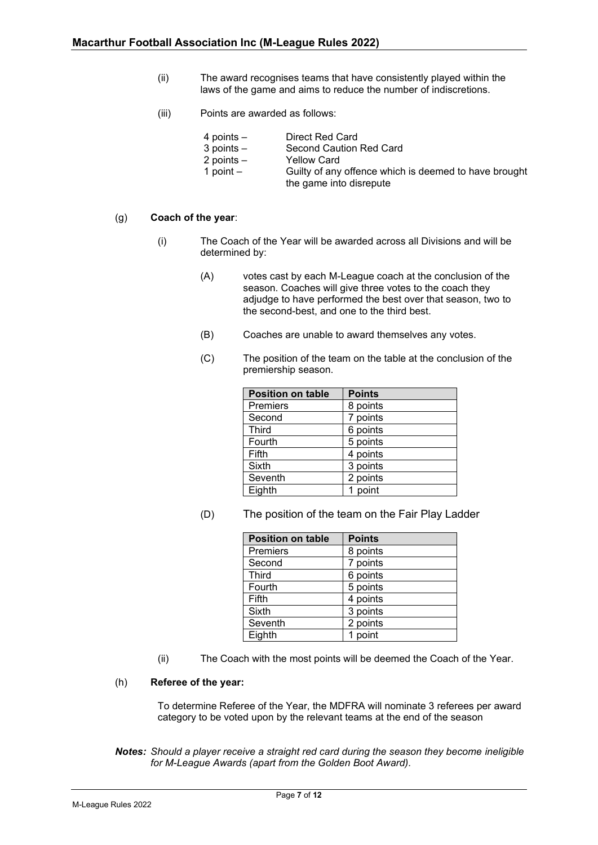- (ii) The award recognises teams that have consistently played within the laws of the game and aims to reduce the number of indiscretions.
- (iii) Points are awarded as follows:

| 4 points $-$   | Direct Red Card                                       |
|----------------|-------------------------------------------------------|
| $3$ points $-$ | Second Caution Red Card                               |
| 2 points $-$   | <b>Yellow Card</b>                                    |
| 1 point $-$    | Guilty of any offence which is deemed to have brought |
|                | the game into disrepute                               |

#### (g) **Coach of the year**:

- (i) The Coach of the Year will be awarded across all Divisions and will be determined by:
	- (A) votes cast by each M-League coach at the conclusion of the season. Coaches will give three votes to the coach they adjudge to have performed the best over that season, two to the second-best, and one to the third best.
	- (B) Coaches are unable to award themselves any votes.
	- (C) The position of the team on the table at the conclusion of the premiership season.

| <b>Position on table</b> | <b>Points</b> |
|--------------------------|---------------|
| Premiers                 | 8 points      |
| Second                   | 7 points      |
| <b>Third</b>             | 6 points      |
| Fourth                   | 5 points      |
| Fifth                    | 4 points      |
| <b>Sixth</b>             | 3 points      |
| Seventh                  | 2 points      |
| Eighth                   | point         |

(D) The position of the team on the Fair Play Ladder

| <b>Position on table</b> | <b>Points</b> |
|--------------------------|---------------|
| Premiers                 | 8 points      |
| Second                   | 7 points      |
| <b>Third</b>             | 6 points      |
| Fourth                   | 5 points      |
| Fifth                    | 4 points      |
| Sixth                    | 3 points      |
| Seventh                  | 2 points      |
| Eighth                   | point         |

(ii) The Coach with the most points will be deemed the Coach of the Year.

#### (h) **Referee of the year:**

To determine Referee of the Year, the MDFRA will nominate 3 referees per award category to be voted upon by the relevant teams at the end of the season

*Notes: Should a player receive a straight red card during the season they become ineligible for M-League Awards (apart from the Golden Boot Award).*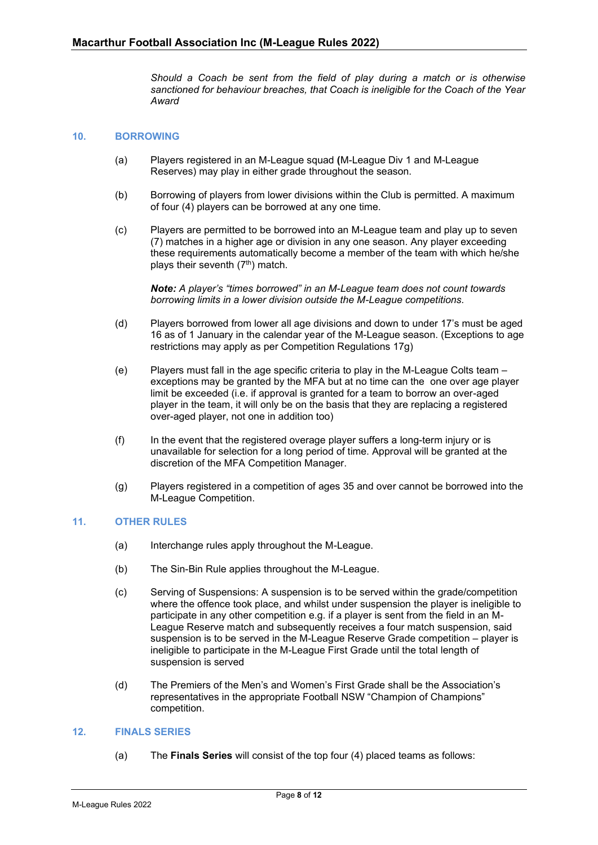*Should a Coach be sent from the field of play during a match or is otherwise sanctioned for behaviour breaches, that Coach is ineligible for the Coach of the Year Award*

#### <span id="page-7-0"></span>**10. BORROWING**

- (a) Players registered in an M-League squad **(**M-League Div 1 and M-League Reserves) may play in either grade throughout the season.
- (b) Borrowing of players from lower divisions within the Club is permitted. A maximum of four (4) players can be borrowed at any one time.
- (c) Players are permitted to be borrowed into an M-League team and play up to seven (7) matches in a higher age or division in any one season. Any player exceeding these requirements automatically become a member of the team with which he/she plays their seventh (7<sup>th</sup>) match.

*Note: A player's "times borrowed" in an M-League team does not count towards borrowing limits in a lower division outside the M-League competitions.*

- (d) Players borrowed from lower all age divisions and down to under 17's must be aged 16 as of 1 January in the calendar year of the M-League season. (Exceptions to age restrictions may apply as per Competition Regulations 17g)
- (e) Players must fall in the age specific criteria to play in the M-League Colts team exceptions may be granted by the MFA but at no time can the one over age player limit be exceeded (i.e. if approval is granted for a team to borrow an over-aged player in the team, it will only be on the basis that they are replacing a registered over-aged player, not one in addition too)
- (f) In the event that the registered overage player suffers a long-term injury or is unavailable for selection for a long period of time. Approval will be granted at the discretion of the MFA Competition Manager.
- (g) Players registered in a competition of ages 35 and over cannot be borrowed into the M-League Competition.

#### <span id="page-7-1"></span>**11. OTHER RULES**

- (a) Interchange rules apply throughout the M-League.
- (b) The Sin-Bin Rule applies throughout the M-League.
- (c) Serving of Suspensions: A suspension is to be served within the grade/competition where the offence took place, and whilst under suspension the player is ineligible to participate in any other competition e.g. if a player is sent from the field in an M-League Reserve match and subsequently receives a four match suspension, said suspension is to be served in the M-League Reserve Grade competition – player is ineligible to participate in the M-League First Grade until the total length of suspension is served
- (d) The Premiers of the Men's and Women's First Grade shall be the Association's representatives in the appropriate Football NSW "Champion of Champions" competition.

#### <span id="page-7-2"></span>**12. FINALS SERIES**

(a) The **Finals Series** will consist of the top four (4) placed teams as follows: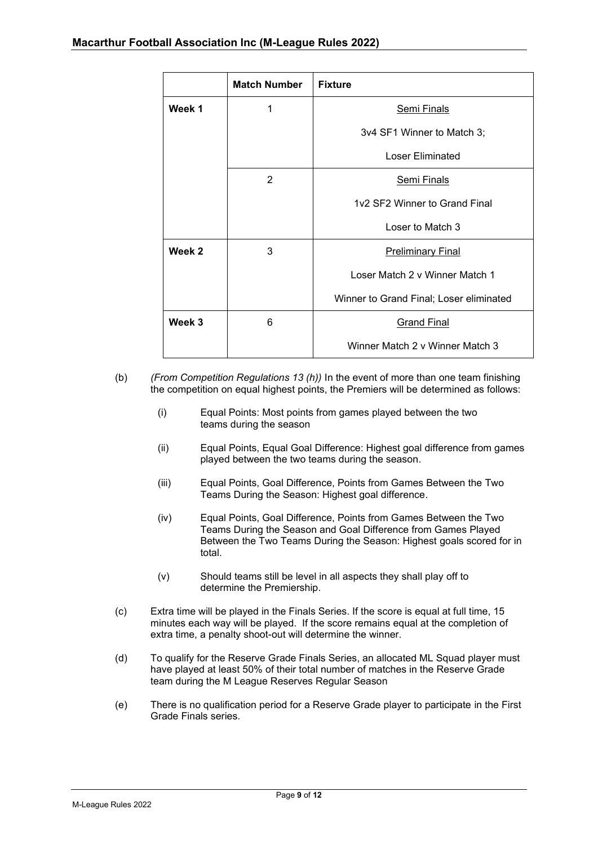|                            | <b>Match Number</b> | <b>Fixture</b>                          |
|----------------------------|---------------------|-----------------------------------------|
| Week 1<br>1<br>Semi Finals |                     |                                         |
|                            |                     | 3v4 SF1 Winner to Match 3;              |
|                            |                     | <b>Loser Eliminated</b>                 |
|                            | 2                   | <b>Semi Finals</b>                      |
|                            |                     | 1v2 SF2 Winner to Grand Final           |
|                            |                     | Loser to Match 3                        |
| Week 2                     | 3                   | <b>Preliminary Final</b>                |
|                            |                     | Loser Match 2 v Winner Match 1          |
|                            |                     | Winner to Grand Final; Loser eliminated |
| Week 3                     | 6                   | <b>Grand Final</b>                      |
|                            |                     | Winner Match 2 v Winner Match 3         |

- (b) *(From Competition Regulations 13 (h))* In the event of more than one team finishing the competition on equal highest points, the Premiers will be determined as follows:
	- (i) Equal Points: Most points from games played between the two teams during the season
	- (ii) Equal Points, Equal Goal Difference: Highest goal difference from games played between the two teams during the season.
	- (iii) Equal Points, Goal Difference, Points from Games Between the Two Teams During the Season: Highest goal difference.
	- (iv) Equal Points, Goal Difference, Points from Games Between the Two Teams During the Season and Goal Difference from Games Played Between the Two Teams During the Season: Highest goals scored for in total.
	- (v) Should teams still be level in all aspects they shall play off to determine the Premiership.
- (c) Extra time will be played in the Finals Series. If the score is equal at full time, 15 minutes each way will be played. If the score remains equal at the completion of extra time, a penalty shoot-out will determine the winner.
- (d) To qualify for the Reserve Grade Finals Series, an allocated ML Squad player must have played at least 50% of their total number of matches in the Reserve Grade team during the M League Reserves Regular Season
- (e) There is no qualification period for a Reserve Grade player to participate in the First Grade Finals series.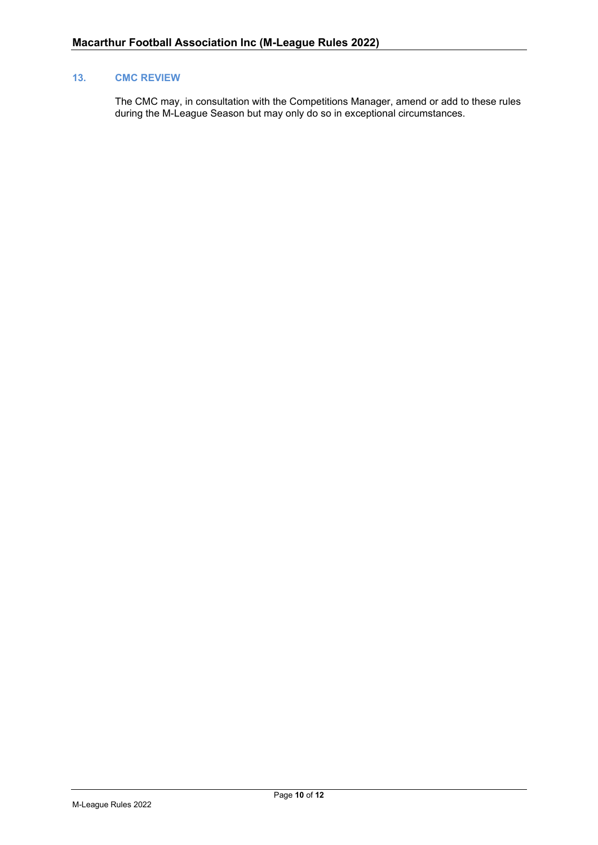# <span id="page-9-0"></span>**13. CMC REVIEW**

The CMC may, in consultation with the Competitions Manager, amend or add to these rules during the M-League Season but may only do so in exceptional circumstances.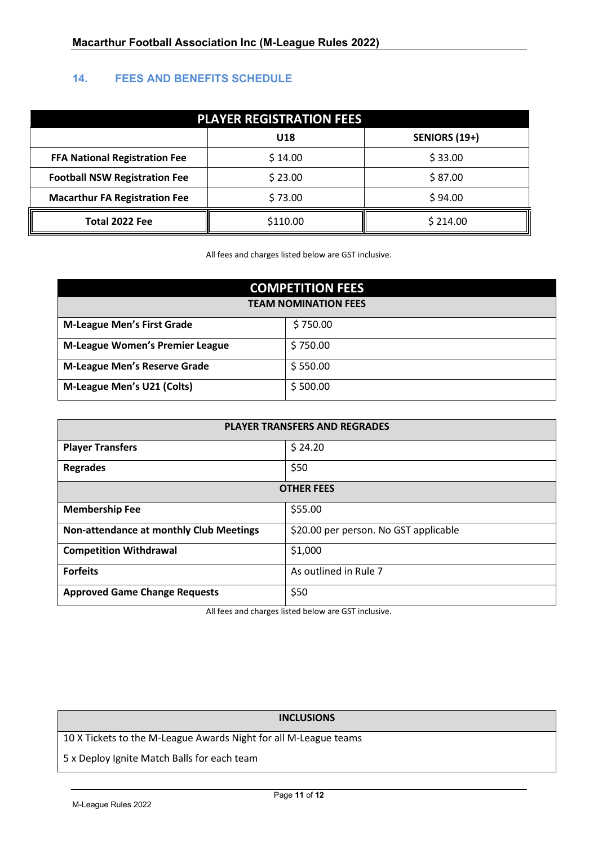# <span id="page-10-0"></span>**14. FEES AND BENEFITS SCHEDULE**

| <b>PLAYER REGISTRATION FEES</b>      |          |                      |
|--------------------------------------|----------|----------------------|
| <b>U18</b>                           |          | <b>SENIORS (19+)</b> |
| <b>FFA National Registration Fee</b> | \$14.00  | \$33.00              |
| <b>Football NSW Registration Fee</b> | \$23.00  | \$87.00              |
| <b>Macarthur FA Registration Fee</b> | \$73.00  | \$94.00              |
| Total 2022 Fee                       | \$110.00 | \$214.00             |

All fees and charges listed below are GST inclusive.

| <b>COMPETITION FEES</b>                |          |  |
|----------------------------------------|----------|--|
| <b>TEAM NOMINATION FEES</b>            |          |  |
| <b>M-League Men's First Grade</b>      | \$750.00 |  |
| <b>M-League Women's Premier League</b> | \$750.00 |  |
| <b>M-League Men's Reserve Grade</b>    | \$550.00 |  |
| M-League Men's U21 (Colts)             | \$500.00 |  |

| PLAYER TRANSFERS AND REGRADES                  |                                       |  |
|------------------------------------------------|---------------------------------------|--|
| <b>Player Transfers</b>                        | \$24.20                               |  |
| <b>Regrades</b>                                | \$50                                  |  |
| <b>OTHER FEES</b>                              |                                       |  |
| <b>Membership Fee</b>                          | \$55.00                               |  |
| <b>Non-attendance at monthly Club Meetings</b> | \$20.00 per person. No GST applicable |  |
| <b>Competition Withdrawal</b>                  | \$1,000                               |  |
| <b>Forfeits</b>                                | As outlined in Rule 7                 |  |
| <b>Approved Game Change Requests</b>           | \$50                                  |  |

All fees and charges listed below are GST inclusive.

# **INCLUSIONS**

10 X Tickets to the M-League Awards Night for all M-League teams

5 x Deploy Ignite Match Balls for each team